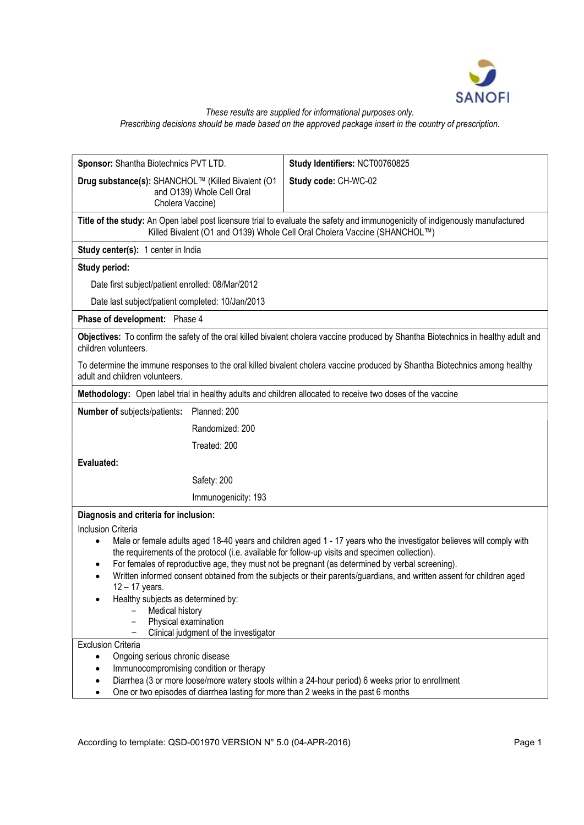

#### These results are supplied for informational purposes only. Prescribing decisions should be made based on the approved package insert in the country of prescription.

Sponsor: Shantha Biotechnics PVT LTD. Drug substance(s): SHANCHOL™ (Killed Bivalent (O1 and O139) Whole Cell Oral Cholera Vaccine) Study Identifiers: NCT00760825 Study code: CH-WC-02 Title of the study: An Open label post licensure trial to evaluate the safety and immunogenicity of indigenously manufactured Killed Bivalent (O1 and O139) Whole Cell Oral Cholera Vaccine (SHANCHOL™) Study center(s): 1 center in India Study period: Date first subject/patient enrolled: 08/Mar/2012 Date last subject/patient completed: 10/Jan/2013 Phase of development: Phase 4 Objectives: To confirm the safety of the oral killed bivalent cholera vaccine produced by Shantha Biotechnics in healthy adult and children volunteers. To determine the immune responses to the oral killed bivalent cholera vaccine produced by Shantha Biotechnics among healthy adult and children volunteers. Methodology: Open label trial in healthy adults and children allocated to receive two doses of the vaccine Number of subjects/patients: Planned: 200 Randomized: 200 Treated: 200 Evaluated: Safety: 200 Immunogenicity: 193 Diagnosis and criteria for inclusion: Inclusion Criteria • Male or female adults aged 18-40 years and children aged 1 - 17 years who the investigator believes will comply with the requirements of the protocol (i.e. available for follow-up visits and specimen collection). For females of reproductive age, they must not be pregnant (as determined by verbal screening). Written informed consent obtained from the subjects or their parents/guardians, and written assent for children aged 12 – 17 years. Healthy subjects as determined by: Medical history - Physical examination - Clinical judgment of the investigator Exclusion Criteria Ongoing serious chronic disease Immunocompromising condition or therapy Diarrhea (3 or more loose/more watery stools within a 24-hour period) 6 weeks prior to enrollment One or two episodes of diarrhea lasting for more than 2 weeks in the past 6 months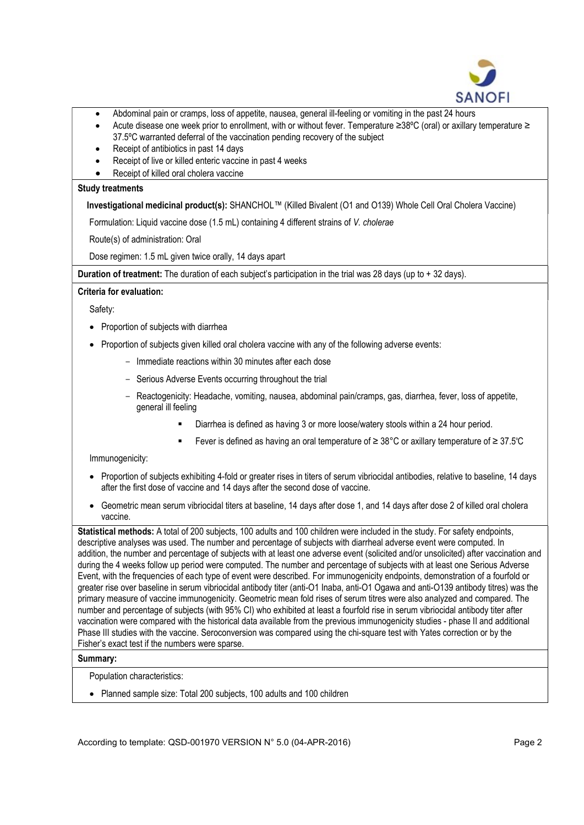

- Abdominal pain or cramps, loss of appetite, nausea, general ill-feeling or vomiting in the past 24 hours
- Acute disease one week prior to enrollment, with or without fever. Temperature ≥38ºC (oral) or axillary temperature ≥ 37.5ºC warranted deferral of the vaccination pending recovery of the subject
- Receipt of antibiotics in past 14 days
- Receipt of live or killed enteric vaccine in past 4 weeks
- Receipt of killed oral cholera vaccine

#### Study treatments

# Investigational medicinal product(s): SHANCHOL™ (Killed Bivalent (O1 and O139) Whole Cell Oral Cholera Vaccine)

Formulation: Liquid vaccine dose (1.5 mL) containing 4 different strains of V. cholerae

Route(s) of administration: Oral

Dose regimen: 1.5 mL given twice orally, 14 days apart

Duration of treatment: The duration of each subject's participation in the trial was 28 days (up to + 32 days).

# Criteria for evaluation:

Safety:

- Proportion of subjects with diarrhea
- Proportion of subjects given killed oral cholera vaccine with any of the following adverse events:
	- Immediate reactions within 30 minutes after each dose
	- Serious Adverse Events occurring throughout the trial
	- Reactogenicity: Headache, vomiting, nausea, abdominal pain/cramps, gas, diarrhea, fever, loss of appetite, general ill feeling
		- Diarrhea is defined as having 3 or more loose/watery stools within a 24 hour period.
		- Fever is defined as having an oral temperature of ≥ 38°C or axillary temperature of ≥ 37.5ºC

Immunogenicity:

- Proportion of subjects exhibiting 4-fold or greater rises in titers of serum vibriocidal antibodies, relative to baseline, 14 days after the first dose of vaccine and 14 days after the second dose of vaccine.
- Geometric mean serum vibriocidal titers at baseline, 14 days after dose 1, and 14 days after dose 2 of killed oral cholera vaccine.

Statistical methods: A total of 200 subjects, 100 adults and 100 children were included in the study. For safety endpoints, descriptive analyses was used. The number and percentage of subjects with diarrheal adverse event were computed. In addition, the number and percentage of subjects with at least one adverse event (solicited and/or unsolicited) after vaccination and during the 4 weeks follow up period were computed. The number and percentage of subjects with at least one Serious Adverse Event, with the frequencies of each type of event were described. For immunogenicity endpoints, demonstration of a fourfold or greater rise over baseline in serum vibriocidal antibody titer (anti-O1 Inaba, anti-O1 Ogawa and anti-O139 antibody titres) was the primary measure of vaccine immunogenicity. Geometric mean fold rises of serum titres were also analyzed and compared. The number and percentage of subjects (with 95% CI) who exhibited at least a fourfold rise in serum vibriocidal antibody titer after vaccination were compared with the historical data available from the previous immunogenicity studies - phase II and additional Phase III studies with the vaccine. Seroconversion was compared using the chi-square test with Yates correction or by the Fisher's exact test if the numbers were sparse.

#### Summary:

Population characteristics:

• Planned sample size: Total 200 subjects, 100 adults and 100 children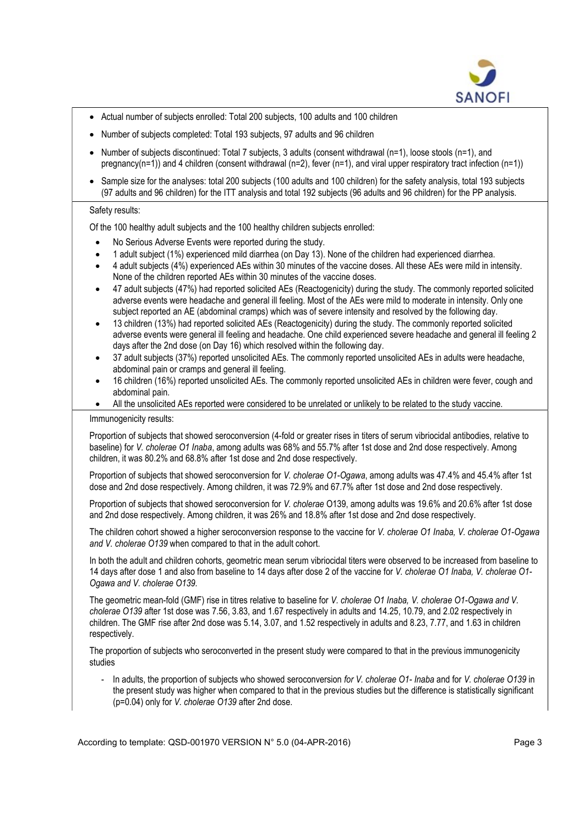

- Actual number of subjects enrolled: Total 200 subjects, 100 adults and 100 children
- Number of subjects completed: Total 193 subjects, 97 adults and 96 children
- Number of subjects discontinued: Total 7 subjects, 3 adults (consent withdrawal (n=1), loose stools (n=1), and pregnancy(n=1)) and 4 children (consent withdrawal (n=2), fever (n=1), and viral upper respiratory tract infection (n=1))
- Sample size for the analyses: total 200 subjects (100 adults and 100 children) for the safety analysis, total 193 subjects (97 adults and 96 children) for the ITT analysis and total 192 subjects (96 adults and 96 children) for the PP analysis.

# Safety results:

Of the 100 healthy adult subjects and the 100 healthy children subjects enrolled:

- No Serious Adverse Events were reported during the study.
- 1 adult subject (1%) experienced mild diarrhea (on Day 13). None of the children had experienced diarrhea.
- 4 adult subjects (4%) experienced AEs within 30 minutes of the vaccine doses. All these AEs were mild in intensity. None of the children reported AEs within 30 minutes of the vaccine doses.
- 47 adult subjects (47%) had reported solicited AEs (Reactogenicity) during the study. The commonly reported solicited adverse events were headache and general ill feeling. Most of the AEs were mild to moderate in intensity. Only one subject reported an AE (abdominal cramps) which was of severe intensity and resolved by the following day.
- 13 children (13%) had reported solicited AEs (Reactogenicity) during the study. The commonly reported solicited adverse events were general ill feeling and headache. One child experienced severe headache and general ill feeling 2 days after the 2nd dose (on Day 16) which resolved within the following day.
- 37 adult subjects (37%) reported unsolicited AEs. The commonly reported unsolicited AEs in adults were headache, abdominal pain or cramps and general ill feeling.
- 16 children (16%) reported unsolicited AEs. The commonly reported unsolicited AEs in children were fever, cough and abdominal pain.
- All the unsolicited AEs reported were considered to be unrelated or unlikely to be related to the study vaccine.

# Immunogenicity results:

Proportion of subjects that showed seroconversion (4-fold or greater rises in titers of serum vibriocidal antibodies, relative to baseline) for V. cholerae O1 Inaba, among adults was 68% and 55.7% after 1st dose and 2nd dose respectively. Among children, it was 80.2% and 68.8% after 1st dose and 2nd dose respectively.

Proportion of subjects that showed seroconversion for V. cholerae O1-Ogawa, among adults was 47.4% and 45.4% after 1st dose and 2nd dose respectively. Among children, it was 72.9% and 67.7% after 1st dose and 2nd dose respectively.

Proportion of subjects that showed seroconversion for V. cholerae O139, among adults was 19.6% and 20.6% after 1st dose and 2nd dose respectively. Among children, it was 26% and 18.8% after 1st dose and 2nd dose respectively.

The children cohort showed a higher seroconversion response to the vaccine for V. cholerae O1 Inaba, V. cholerae O1-Ogawa and V. cholerae O139 when compared to that in the adult cohort.

In both the adult and children cohorts, geometric mean serum vibriocidal titers were observed to be increased from baseline to 14 days after dose 1 and also from baseline to 14 days after dose 2 of the vaccine for V. cholerae O1 Inaba, V. cholerae O1-Ogawa and V. cholerae O139.

The geometric mean-fold (GMF) rise in titres relative to baseline for V. cholerae O1 Inaba, V. cholerae O1-Ogawa and V. cholerae O139 after 1st dose was 7.56, 3.83, and 1.67 respectively in adults and 14.25, 10.79, and 2.02 respectively in children. The GMF rise after 2nd dose was 5.14, 3.07, and 1.52 respectively in adults and 8.23, 7.77, and 1.63 in children respectively.

The proportion of subjects who seroconverted in the present study were compared to that in the previous immunogenicity studies

- In adults, the proportion of subjects who showed seroconversion for V. cholerae O1- Inaba and for V. cholerae O139 in the present study was higher when compared to that in the previous studies but the difference is statistically significant (p=0.04) only for V. cholerae O139 after 2nd dose.

According to template: QSD-001970 VERSION N° 5.0 (04-APR-2016) Page 3